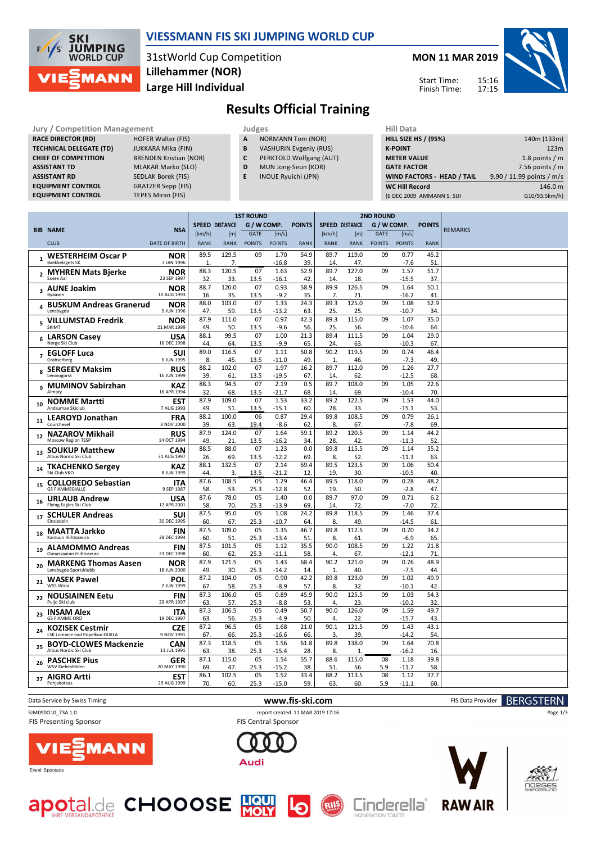

## **VIESSMANN FIS SKI JUMPING WORLD CUP**

31stWorld Cup Competition **Large Hill Individual Lillehammer (NOR)**



## **Results Official Training**

| <b>Jury / Competition Management</b> |                               |   | Judges                        |                    |  |  |  |  |
|--------------------------------------|-------------------------------|---|-------------------------------|--------------------|--|--|--|--|
| <b>RACE DIRECTOR (RD)</b>            | <b>HOFER Walter (FIS)</b>     | A | <b>NORMANN Tom (NOR)</b>      | <b>HILL SIZE H</b> |  |  |  |  |
| <b>TECHNICAL DELEGATE (TD)</b>       | <b>JUKKARA Mika (FIN)</b>     | B | <b>VASHURIN Evgeniy (RUS)</b> | <b>K-POINT</b>     |  |  |  |  |
| <b>CHIEF OF COMPETITION</b>          | <b>BRENDEN Kristian (NOR)</b> |   | PERKTOLD Wolfgang (AUT)       | <b>METER VA</b>    |  |  |  |  |
| <b>ASSISTANT TD</b>                  | <b>MLAKAR Marko (SLO)</b>     | D | MUN Jong-Seon (KOR)           | <b>GATE FACT</b>   |  |  |  |  |
| <b>ASSISTANT RD</b>                  | <b>SEDLAK Borek (FIS)</b>     |   | <b>INOUE Ryuichi (JPN)</b>    | <b>WIND FAC</b>    |  |  |  |  |
| <b>EQUIPMENT CONTROL</b>             | <b>GRATZER Sepp (FIS)</b>     |   |                               | <b>WC Hill Re</b>  |  |  |  |  |
| <b>EQUIPMENT CONTROL</b>             | <b>TEPES Miran (FIS)</b>      |   |                               | (6 DEC 2009        |  |  |  |  |

- **A** NORMANN Tom (NOR)
- **B** VASHURIN Evgeniy (RUS)
- **C** PERKTOLD Wolfgang (AUT)
- **D** MUN Jong-Seon (KOR)
- **E** INOUE Ryuichi (JPN)

| niil Ddtd                   |                           |
|-----------------------------|---------------------------|
| <b>HILL SIZE HS / (95%)</b> | 140m (133m)               |
| <b>K-POINT</b>              | 123m                      |
| <b>METER VALUE</b>          | 1.8 points $/m$           |
| <b>GATE FACTOR</b>          | 7.56 points $/m$          |
| WIND FACTORS - HEAD / TAIL  | 9.90 / 11.99 points / m/s |
| <b>WC Hill Record</b>       | 146.0 m                   |
| (6 DEC 2009 AMMANN S. SUI   | G10/93.5km/h)             |
|                             |                           |

|                |                                                          |                           |             |                       | <b>1ST ROUND</b> |               |               | <b>2ND ROUND</b>      |              |               |               |               |                |
|----------------|----------------------------------------------------------|---------------------------|-------------|-----------------------|------------------|---------------|---------------|-----------------------|--------------|---------------|---------------|---------------|----------------|
|                |                                                          |                           |             | <b>SPEED DISTANCE</b> | G / W COMP.      |               | <b>POINTS</b> | <b>SPEED DISTANCE</b> |              | G / W COMP.   |               | <b>POINTS</b> |                |
|                | <b>BIB NAME</b>                                          | <b>NSA</b>                | [km/h]      | [m]                   | <b>GATE</b>      | [m/s]         |               | [km/h]                | [m]          | <b>GATE</b>   | [m/s]         |               | <b>REMARKS</b> |
|                | <b>CLUB</b>                                              | <b>DATE OF BIRTH</b>      | <b>RANK</b> | <b>RANK</b>           | <b>POINTS</b>    | <b>POINTS</b> | <b>RANK</b>   | <b>RANK</b>           | <b>RANK</b>  | <b>POINTS</b> | <b>POINTS</b> | <b>RANK</b>   |                |
| $\mathbf{1}$   | <b>WESTERHEIM Oscar P</b>                                | <b>NOR</b>                | 89.5        | 129.5                 | 09               | 1.70          | 54.9          | 89.7                  | 119.0        | 09            | 0.77          | 45.2          |                |
|                | <b>Baekkelagets SK</b>                                   | 3 JAN 1996                | 1.          | 7.                    |                  | $-16.8$       | 39.           | 14.                   | 47.          |               | $-7.6$        | 51            |                |
|                | <b>MYHREN Mats Bjerke</b>                                | <b>NOR</b>                | 88.3        | 120.5                 | 07               | 1.63          | 52.9          | 89.7                  | 127.0        | 09            | 1.57          | 51.7          |                |
|                | Soere Aal                                                | 23 SEP 1997               | 32          | 33.                   | 13.5             | $-16.1$       | 42            | 14.                   | 18.          |               | $-15.5$       | 37            |                |
|                | 3 AUNE Joakim                                            | NOR                       | 88.7        | 120.0                 | 07               | 0.93          | 58.9          | 89.9                  | 126.5        | 09            | 1.64          | 50.1          |                |
|                | <b>Byaasen</b>                                           | 10 AUG 1993               | 16.         | 35.                   | 13.5             | $-9.2$        | 35.           | 7.                    | 21.          |               | -16.2         | 41            |                |
|                | <b>BUSKUM Andreas Granerud</b>                           | <b>NOR</b>                | 88.0        | 103.0                 | 07               | 1.33          | 24.3          | 89.3                  | 125.0        | 09            | 1.08          | 52.9          |                |
|                | Lensbygda                                                | 5 JUN 1996                | 47.         | 59.                   | 13.5             | $-13.2$       | 63.           | 25.                   | 25.          |               | $-10.7$       | 34            |                |
| 5              | <b>VILLUMSTAD Fredrik</b>                                | <b>NOR</b>                | 87.9        | 111.0                 | 07               | 0.97          | 42.3          | 89.3                  | 115.0        | 09            | 1.07          | 35.0          |                |
|                | SKIMT                                                    | 21 MAR 1999               | 49.         | 50.                   | 13.5             | $-9.6$        | 56.           | 25.                   | 56.          |               | $-10.6$       | 64            |                |
|                | <b>LARSON Casey</b>                                      | <b>USA</b>                | 88.1        | 99.5                  | 07               | 1.00          | 21.3          | 89.4                  | 111.5        | 09            | 1.04          | 29.0          |                |
| 6              | Norge Ski Club                                           | 16 DEC 1998               | 44          | 64.                   | 13.5             | $-9.9$        | 65.           | 24.                   | 63           |               | $-10.3$       | 67            |                |
|                | <b>EGLOFF Luca</b>                                       | <b>SUI</b>                | 89.0        | 116.5                 | 07               | 1.11          | 50.8          | 90.2                  | 119.5        | 09            | 0.74          | 46.4          |                |
| $\overline{7}$ | Grabserberg                                              | 6 JUN 1995                | 8.          | 45.                   | 13.5             | $-11.0$       | 49.           | $\mathbf{1}$          | 46           |               | $-7.3$        | 49            |                |
|                | <b>SERGEEV Maksim</b>                                    | <b>RUS</b>                | 88.2        | 102.0                 | 07               | 1.97          | 16.2          | 89.7                  | 112.0        | 09            | 1.26          | 27.7          |                |
| 8              | Leninogorsk                                              | 16 JUN 1999               | 39.         | 61.                   | 13.5             | $-19.5$       | 67.           | 14.                   | 62           |               | $-12.5$       | 68            |                |
|                | <b>MUMINOV Sabirzhan</b>                                 | <b>KAZ</b>                | 88.3        | 94.5                  | 07               | 2.19          | 0.5           | 89.7                  | 108.0        | 09            | 1.05          | 22.6          |                |
| q              | Almaty                                                   | 16 APR 1994               | 32          | 68.                   | 13.5             | $-21.7$       | 68.           | 14                    | 69.          |               | $-10.4$       | 70            |                |
|                | <b>NOMME Martti</b>                                      | <b>EST</b>                | 87.9        | 109.0                 | 07               | 1.53          | 33.2          | 89.2                  | 122.5        | 09            | 1.53          | 44.0          |                |
| 10             | Andsumae Skiclub                                         | 7 AUG 1993                | 49.         | 51.                   | 13.5             | $-15.1$       | 60.           | 28.                   | 33.          |               | $-15.1$       | 53            |                |
|                |                                                          | <b>FRA</b>                | 88.2        | 100.0                 | 06               | 0.87          | 29.4          | 89.8                  | 108.5        | 09            | 0.79          | 26.1          |                |
| 11             | <b>LEAROYD Jonathan</b><br>Courchevel                    | 3 NOV 2000                | 39.         | 63.                   | 19.4             | $-8.6$        | 62            | 8.                    | 67.          |               | $-7.8$        | 69            |                |
|                |                                                          |                           | 87.9        | 124.0                 | 07               | 1.64          | 59.1          | 89.2                  | 120.5        | 09            | 1.14          | 44.2          |                |
| 12             | <b>NAZAROV Mikhail</b><br>Moscow Region TSSP             | <b>RUS</b><br>14 OCT 1994 | 49.         | 21.                   | 13.5             | $-16.2$       | 34.           | 28.                   | 42           |               | $-11.3$       | 52            |                |
|                |                                                          |                           | 88.5        | 88.0                  | 07               | 1.23          | 0.0           | 89.8                  | 115.5        | 09            | 1.14          | 35.2          |                |
| 13             | <b>SOUKUP Matthew</b><br>Altius Nordic Ski Club          | <b>CAN</b><br>31 AUG 1997 | 26.         | 69.                   | 13.5             | $-12.2$       | 69            | 8.                    | 52.          |               | -11.3         | 63            |                |
|                |                                                          |                           | 88.1        | 132.5                 | 07               | 2.14          | 69.4          | 89.5                  | 123.5        | 09            | 1.06          | 50.4          |                |
| 14             | <b>TKACHENKO Sergey</b><br>Ski Club VKO                  | <b>KAZ</b><br>8 JUN 1999  | 44.         | 3.                    | 13.5             | $-21.2$       | 12.           | 19.                   | 30.          |               | $-10.5$       | 40            |                |
|                |                                                          |                           | 87.6        | 108.5                 | 05               | 1.29          | 46.4          | 89.5                  | 118.0        | 09            | 0.28          | 48.2          |                |
| 15             | <b>COLLOREDO Sebastian</b><br><b>GS FIAMMEGIALLE</b>     | <b>ITA</b><br>9 SEP 1987  | 58.         | 53.                   | 25.3             | $-12.8$       | 52.           | 19                    | 50.          |               | $-2.8$        | 47            |                |
|                |                                                          |                           | 87.6        | 78.0                  | 05               | 1.40          | 0.0           | 89.7                  | 97.0         | 09            | 0.71          | 6.2           |                |
| 16             | <b>URLAUB Andrew</b><br>Flying Eagles Ski Club           | <b>USA</b><br>12 APR 2001 | 58.         | 70.                   | 25.3             | $-13.9$       | 69.           | 14.                   | 72.          |               | $-7.0$        | 72            |                |
|                |                                                          |                           | 87.5        | 95.0                  | 05               | 1.08          | 24.2          | 89.8                  | 118.5        | 09            | 1.46          | 37.4          |                |
| 17             | <b>SCHULER Andreas</b><br>Einsiedeln                     | SUI<br>30 DEC 1995        | 60.         | 67.                   | 25.3             | $-10.7$       | 64.           | 8.                    | 49.          |               | -14.5         | 61            |                |
|                |                                                          |                           | 87.5        | 109.0                 | 05               | 1.35          | 46.7          | 89.8                  | 112.5        | 09            | 0.70          | 34.2          |                |
| 18             | <b>MAATTA Jarkko</b><br>Kainuun Hiihtoseura              | <b>FIN</b><br>28 DEC 1994 | 60.         | 51.                   | 25.3             | $-13.4$       | 51.           | 8.                    | 61.          |               | $-6.9$        | 65            |                |
|                |                                                          |                           | 87.5        | 101.5                 | 05               | 1.12          |               | 90.0                  | 108.5        | 09            | 1.22          |               |                |
| 19             | <b>ALAMOMMO Andreas</b><br>Qunasyaaran Hiihtoseura       | <b>FIN</b><br>23 DEC 1998 | 60.         | 62.                   | 25.3             | $-11.1$       | 35.5<br>58.   | 4.                    | 67.          |               | $-12.1$       | 21.8<br>71    |                |
|                |                                                          |                           | 87.9        | 121.5                 | 05               | 1.43          | 68.4          | 90.2                  | 121.0        | 09            | 0.76          | 48.9          |                |
| 20             | <b>MARKENG Thomas Aasen</b><br>Lensbygda Sportsklubb     | <b>NOR</b><br>18 JUN 2000 | 49.         | 30.                   | 25.3             | $-14.2$       | 14.           | $\mathbf{1}$          | 40.          |               | $-7.5$        | 44            |                |
|                |                                                          |                           | 87.2        | 104.0                 | 05               | 0.90          | 42.2          | 89.8                  | 123.0        | 09            | 1.02          | 49.9          |                |
| 21             | <b>WASEK Pawel</b><br>WSS Wisla                          | POL<br>2 JUN 1999         | 67.         | 58.                   | 25.3             | $-8.9$        | 57.           | 8.                    | 32           |               | $-10.1$       | 42            |                |
|                |                                                          |                           | 87.3        | 106.0                 | 05               | 0.89          | 45.9          | 90.0                  | 125.5        | 09            | 1.03          | 54.3          |                |
| 22             | <b>NOUSIAINEN Eetu</b><br>Puijo Ski club                 | <b>FIN</b><br>29 APR 1997 | 63          | 57.                   | 25.3             | $-8.8$        | 53.           | 4.                    | 23.          |               | $-10.2$       | 32            |                |
|                |                                                          |                           | 87.3        | 106.5                 | 05               | 0.49          | 50.7          | 90.0                  | 126.0        | 09            | 1.59          | 49.7          |                |
| 23             | <b>INSAM Alex</b><br><b>GS FIAMME ORO</b>                | <b>ITA</b><br>19 DEC 1997 | 63.         | 56.                   | 25.3             | $-4.9$        | 50.           | 4.                    | 22           |               | $-15.7$       | 43            |                |
|                |                                                          |                           | 87.2        | 96.5                  | 05               | 1.68          | 21.0          | 90.1                  | 121.5        | 09            | 1.43          | 43.1          |                |
| 24             | <b>KOZISEK Cestmir</b><br>LSK Lomnice nad Popelkou-DUKLA | <b>CZE</b><br>9 NOV 1991  | 67.         | 66.                   | 25.3             | $-16.6$       | 66.           | 3.                    | 39.          |               | $-14.2$       | 54            |                |
|                |                                                          |                           | 87.3        | 118.5                 | 05               | 1.56          | 61.8          | 89.8                  | 138.0        | 09            | 1.64          | 70.8          |                |
| 25             | <b>BOYD-CLOWES Mackenzie</b><br>Altius Nordic Ski Club   | <b>CAN</b><br>13 JUL 1991 | 63.         | 38.                   | 25.3             | $-15.4$       | 28.           | 8.                    | $\mathbf{1}$ |               | -16.2         | 16            |                |
|                |                                                          | <b>GER</b>                | 87.1        | 115.0                 | 05               | 1.54          | 55.7          | 88.6                  | 115.0        | 08            | 1.18          | 39.8          |                |
| 26             | <b>PASCHKE Pius</b><br>WSV Kiefersfelden                 | 20 MAY 1990               | 69          | 47                    | 25.3             | $-15.2$       | 38.           | 51                    | 56.          | 5.9           | $-11.7$       | 58            |                |
|                | <b>AIGRO Artti</b>                                       | <b>EST</b>                | 86.1        | 102.5                 | 05               | 1.52          | 33.4          | 88.2                  | 113.5        | 08            | 1.12          | 37.7          |                |
| 27             | Pohjakotkas                                              | 29 AUG 1999               | 70.         | 60.                   | 25.3             | $-15.0$       | 59.           | 63.                   | 60.          | 5.9           | $-11.1$       | 60            |                |
|                |                                                          |                           |             |                       |                  |               |               |                       |              |               |               |               |                |

FIS Presenting Sponsor

Data Service by Swiss Timing **WWW.fis-ski.com www.fis-ski.com** FIS Data Provider **BERGSTERN** 

RIIS

SJM090O10\_73A 1.0 report created 11 MAR 2019 17:16 FIS Central Sponsor

Audi



apotal.de CHOOOSE HO







Page 1/3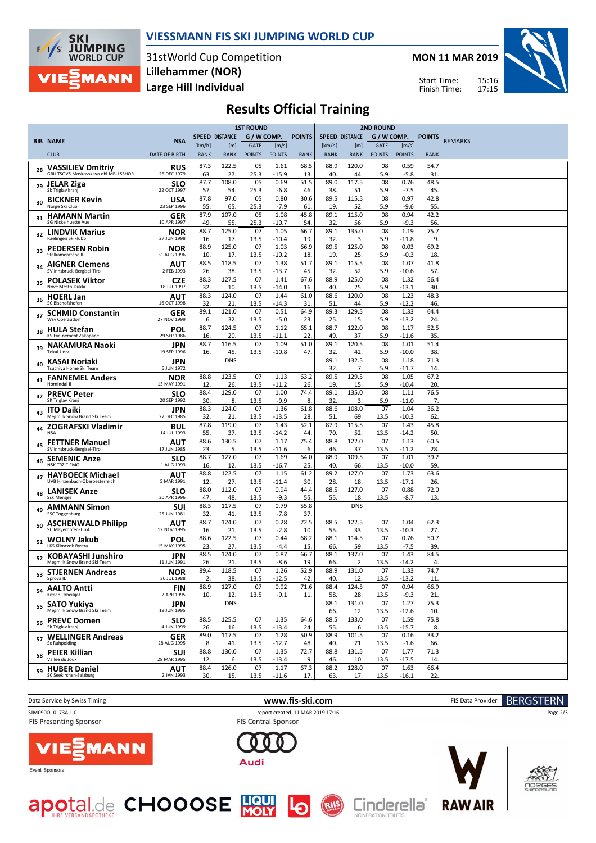

## **VIESSMANN FIS SKI JUMPING WORLD CUP**

31stWorld Cup Competition **Large Hill Individual Lillehammer (NOR)**

**MON 11 MAR 2019**

Start Time: Finish Time:



## **Results Official Training**

|    |                                                           |                           | <b>1ST ROUND</b>      |                       |                       |                        |               |                       | <b>2ND ROUND</b>   |                              |                        |               |                |
|----|-----------------------------------------------------------|---------------------------|-----------------------|-----------------------|-----------------------|------------------------|---------------|-----------------------|--------------------|------------------------------|------------------------|---------------|----------------|
|    | <b>BIB NAME</b>                                           | <b>NSA</b>                |                       | <b>SPEED DISTANCE</b> | G / W COMP.           |                        | <b>POINTS</b> | <b>SPEED DISTANCE</b> |                    | G / W COMP.                  |                        | <b>POINTS</b> | <b>REMARKS</b> |
|    | <b>CLUB</b>                                               | <b>DATE OF BIRTH</b>      | [km/h]<br><b>RANK</b> | [m]<br><b>RANK</b>    | GATE<br><b>POINTS</b> | [m/s]<br><b>POINTS</b> | <b>RANK</b>   | [km/h]<br><b>RANK</b> | [m]<br><b>RANK</b> | <b>GATE</b><br><b>POINTS</b> | [m/s]<br><b>POINTS</b> | <b>RANK</b>   |                |
|    | <b>VASSILIEV Dmitriv</b>                                  | RUS                       | 87.3                  | 122.5                 | 05                    | 1.61                   | 68.5          | 88.9                  | 120.0              | 08                           | 0.59                   | 54.7          |                |
| 28 | GBU TSOVS Moskovskaya obl MBU SSHOR                       | 26 DEC 1979               | 63                    | 27.                   | 25.3                  | -15.9                  | 13.           | 40.                   | 44.                | 5.9                          | $-5.8$                 | 31            |                |
| 29 | <b>JELAR Ziga</b><br>Sk Triglav kranj                     | <b>SLO</b><br>22 OCT 1997 | 87.7<br>57            | 108.0<br>54.          | 05<br>25.3            | 0.69<br>$-6.8$         | 51.5<br>46.   | 89.0<br>38.           | 117.5<br>51        | 08<br>5.9                    | 0.76<br>-7.5           | 48.5<br>45.   |                |
| 30 | <b>BICKNER Kevin</b><br>Norge Ski Club                    | USA<br>23 SEP 1996        | 87.8<br>55.           | 97.0<br>65.           | 05<br>25.3            | 0.80<br>$-7.9$         | 30.6<br>61    | 89.5<br>19.           | 115.5<br>52.       | 08<br>5.9                    | 0.97<br>$-9.6$         | 42.8<br>55    |                |
| 31 | <b>HAMANN Martin</b><br>SG Nickelhuette Aue               | GER<br>10 APR 1997        | 87.9                  | 107.0                 | 05                    | 1.08                   | 45.8          | 89.1                  | 115.0              | 08                           | 0.94                   | 42.2          |                |
| 32 | <b>LINDVIK Marius</b>                                     | NOR                       | 49<br>88.7            | 55.<br>125.0          | 25.3<br>07            | $-10.7$<br>1.05        | 54.<br>66.7   | 32.<br>89.1           | 56.<br>135.0       | 5.9<br>08                    | $-9.3$<br>1.19         | 56.<br>75.7   |                |
|    | Raelingen Skiklubb<br><b>PEDERSEN Robin</b>               | 27 JUN 1998<br><b>NOR</b> | 16.<br>88.9           | 17.<br>125.0          | 13.5<br>07            | -10.4<br>1.03          | 19.<br>66.9   | 32.<br>89.5           | 3.<br>125.0        | 5.9<br>08                    | -11.8<br>0.03          | 9.<br>69.2    |                |
| 33 | Stalkameratene II                                         | 31 AUG 1996               | 10.                   | 17.                   | 13.5                  | -10.2                  | 18            | 19                    | 25.                | 5.9                          | $-0.3$                 | 18.           |                |
| 34 | <b>AIGNER Clemens</b><br>SV Innsbruck-Bergisel-Tirol      | AUT<br>2 FEB 1993         | 88.5<br>26.           | 118.5<br>38.          | 07<br>13.5            | 1.38<br>-13.7          | 51.7<br>45.   | 89.1<br>32.           | 115.5<br>52.       | 08<br>5.9                    | 1.07<br>$-10.6$        | 41.8<br>57    |                |
| 35 | <b>POLASEK Viktor</b><br>Nove Mesto-Dukla                 | <b>CZE</b><br>18 JUL 1997 | 88.3<br>32            | 127.5<br>10.          | 07<br>13.5            | 1.41<br>-14.0          | 67.6<br>16.   | 88.9<br>40.           | 125.0<br>25        | 08<br>5.9                    | 1.32<br>$-13.1$        | 56.4<br>30.   |                |
| 36 | <b>HOERL Jan</b><br>SC Bischofshofen                      | AUT<br>16 OCT 1998        | 88.3<br>32            | 124.0<br>21.          | 07<br>13.5            | 1.44<br>-14.3          | 61.0<br>31    | 88.6<br>51            | 120.0<br>44.       | 08<br>5.9                    | 1.23<br>-12.2          | 48.3<br>46.   |                |
| 37 | <b>SCHMID Constantin</b>                                  | GER                       | 89.1                  | 121.0                 | 07                    | 0.51                   | 64.9          | 89.3                  | 129.5              | 08                           | 1.33                   | 64.4          |                |
| 38 | Wsv Oberaudorf<br><b>HULA Stefan</b>                      | 27 NOV 1999<br>POL        | 6.<br>88.7            | 32.<br>124.5          | 13.5<br>07            | $-5.0$<br>1.12         | 23.<br>65.1   | 25.<br>88.7           | 15.<br>122.0       | 5.9<br>08                    | $-13.2$<br>1.17        | 24.<br>52.5   |                |
|    | KS Eve-nement Zakopane<br><b>NAKAMURA Naoki</b>           | 29 SEP 1986<br>JPN        | 16.<br>88.7           | 20.<br>116.5          | 13.5<br>07            | -11.1<br>1.09          | 22.<br>51.0   | 49.<br>89.1           | 37.<br>120.5       | 5.9<br>08                    | -11.6<br>1.01          | 35.<br>51.4   |                |
| 39 | Tokai Univ.                                               | 19 SEP 1996               | 16.                   | 45.<br><b>DNS</b>     | 13.5                  | $-10.8$                | 47.           | 32.<br>89.1           | 42.<br>132.5       | 5.9<br>08                    | $-10.0$<br>1.18        | 38.<br>71.3   |                |
| 40 | KASAI Noriaki<br>Tsuchiya Home Ski Team                   | JPN<br>6 JUN 1972         |                       |                       |                       |                        |               | 32.                   | 7.                 | 5.9                          | -11.7                  | 14            |                |
| 41 | <b>FANNEMEL Anders</b><br>Hornindal II                    | NOR<br>13 MAY 1991        | 88.8<br>12            | 123.5<br>26.          | 07<br>13.5            | 1.13<br>-11.2          | 63.2<br>26.   | 89.5<br>19.           | 129.5<br>15.       | 08<br>5.9                    | 1.05<br>-10.4          | 67.2<br>20.   |                |
| 42 | <b>PREVC Peter</b><br>SK Triglav Kranj                    | <b>SLO</b><br>20 SEP 1992 | 88.4<br>30            | 129.0<br>8.           | 07<br>13.5            | 1.00<br>$-9.9$         | 74.4<br>8.    | 89.1<br>32.           | 135.0<br>3.        | 08<br>5.9                    | 1.11<br>-11.0          | 76.5<br>7.    |                |
| 43 | <b>ITO Daiki</b><br>Megmilk Snow Brand Ski Team           | JPN<br>27 DEC 1985        | 88.3<br>32            | 124.0<br>21.          | 07<br>13.5            | 1.36<br>$-13.5$        | 61.8<br>28.   | 88.6<br>51            | 108.0<br>69.       | 07<br>13.5                   | 1.04<br>$-10.3$        | 36.2<br>62    |                |
| 44 | ZOGRAFSKI Vladimir<br><b>NSA</b>                          | BUL<br>14 JUL 1993        | 87.8                  | 119.0                 | 07                    | 1.43                   | 52.1          | 87.9                  | 115.5              | 07                           | 1.43                   | 45.8          |                |
| 45 | <b>FETTNER Manuel</b>                                     | AUT                       | 55<br>88.6            | 37.<br>130.5          | 13.5<br>07            | $-14.2$<br>1.17        | 44.<br>75.4   | 70.<br>88.8           | 52.<br>122.0       | 13.5<br>07                   | $-14.2$<br>1.13        | 50.<br>60.5   |                |
|    | SV Innsbruck-Bergisel-Tirol                               | 17 JUN 1985               | 23<br>88.7            | 5.<br>127.0           | 13.5<br>07            | -11.6<br>1.69          | 6.<br>64.0    | 46.<br>88.9           | 37.<br>109.5       | 13.5<br>07                   | -11.2<br>1.01          | 28.<br>39.2   |                |
| 46 | <b>SEMENIC Anze</b><br><b>NSK TRZIC FMG</b>               | <b>SLO</b><br>1 AUG 1993  | 16.                   | 12.                   | 13.5                  | -16.7                  | 25.           | 40.                   | 66.                | 13.5                         | $-10.0$                | 59            |                |
| 47 | <b>HAYBOECK Michael</b><br>UVB Hinzenbach-Oberoesterreich | AUT<br>5 MAR 1991         | 88.8<br>12            | 122.5<br>27.          | 07<br>13.5            | 1.15<br>-11.4          | 61.2<br>30.   | 89.2<br>28.           | 127.0<br>18.       | 07<br>13.5                   | 1.73<br>-17.1          | 63.6<br>26.   |                |
| 48 | <b>LANISEK Anze</b><br><b>Ssk Menges</b>                  | SLO<br>20 APR 1996        | 88.0<br>47            | 112.0<br>48.          | 07<br>13.5            | 0.94<br>$-9.3$         | 44.4<br>55.   | 88.5<br>55.           | 127.0<br>18.       | 07<br>13.5                   | 0.88<br>$-8.7$         | 72.0<br>13.   |                |
| 49 | <b>AMMANN Simon</b><br><b>SSC Toggenburg</b>              | SUI<br>25 JUN 1981        | 88.3                  | 117.5                 | 07                    | 0.79                   | 55.8          |                       | <b>DNS</b>         |                              |                        |               |                |
| 50 | <b>ASCHENWALD Philipp</b>                                 | AUT                       | 32<br>88.7            | 41.<br>124.0          | 13.5<br>07            | $-7.8$<br>0.28         | 37.<br>72.5   | 88.5                  | 122.5              | 07                           | 1.04                   | 62.3          |                |
| 51 | SC Mayerhofen-Tirol<br><b>WOLNY Jakub</b>                 | 12 NOV 1995<br>POL        | 16.<br>88.6           | 21.<br>122.5          | 13.5<br>07            | $-2.8$<br>0.44         | 10.<br>68.2   | 55.<br>88.1           | 33.<br>114.5       | 13.5<br>07                   | -10.3<br>0.76          | 27.<br>50.7   |                |
|    | LKS Klimczok Bystra<br><b>KOBAYASHI Junshiro</b>          | 15 MAY 1995<br>JPN        | 23<br>88.5            | 27.<br>124.0          | 13.5<br>07            | $-4.4$<br>0.87         | 15.<br>66.7   | 66.<br>88.1           | 59.<br>137.0       | 13.5<br>07                   | $-7.5$<br>1.43         | 39.<br>84.5   |                |
| 52 | Megmilk Snow Brand Ski Team                               | 11 JUN 1991               | 26.                   | 21.                   | 13.5                  | -8.6                   | 19.           | 66.                   | 2.                 | 13.5                         | -14.2<br>1.33          | 4.<br>74.7    |                |
|    | <sub>53</sub> STJERNEN Andreas<br>Sprova IL               | <b>NOR</b><br>30 JUL 1988 | 89.4<br>2.            | 118.5<br>38.          | 07<br>13.5            | 1.26<br>$-12.5$        | 52.9<br>42.   | 88.9<br>40.           | 131.0<br>12.       | 07<br>13.5                   | $-13.2$                | 11            |                |
| 54 | <b>AALTO Antti</b><br>Kiteen Urheilijat                   | <b>FIN</b><br>2 APR 1995  | 88.9<br>10.           | 127.0<br>12.          | 07<br>13.5            | 0.92<br>$-9.1$         | 71.6<br>11.   | 88.4<br>58.           | 124.5<br>28.       | 07<br>13.5                   | 0.94<br>$-9.3$         | 66.9<br>21.   |                |
| 55 | <b>SATO Yukiya</b><br>Megmilk Snow Brand Ski Team         | <b>JPN</b><br>19 JUN 1995 |                       | <b>DNS</b>            |                       |                        |               | 88.1<br>66.           | 131.0<br>12.       | 07<br>13.5                   | 1.27<br>$-12.6$        | 75.3<br>10.   |                |
| 56 | <b>PREVC Domen</b><br>Sk Triglav kranj                    | <b>SLO</b><br>4 JUN 1999  | 88.5<br>26.           | 125.5<br>16.          | 07<br>13.5            | 1.35<br>$-13.4$        | 64.6<br>24    | 88.5<br>55.           | 133.0<br>6.        | 07<br>13.5                   | 1.59<br>-15.7          | 75.8<br>8.    |                |
| 57 | <b>WELLINGER Andreas</b>                                  | GER                       | 89.0                  | 117.5                 | 07                    | 1.28                   | 50.9          | 88.9                  | 101.5              | 07                           | 0.16                   | 33.2          |                |
| 58 | Sc Ruhpolding<br><b>PEIER Killian</b>                     | 28 AUG 1995<br><b>SUI</b> | 8.<br>88.8            | 41.<br>130.0          | 13.5<br>07            | $-12.7$<br>1.35        | 48.<br>72.7   | 40.<br>88.8           | 71.<br>131.5       | 13.5<br>07                   | $-1.6$<br>1.77         | 66.<br>71.3   |                |
|    | Vallee du Joux                                            | 28 MAR 1995               | 12.                   | 6.                    | 13.5                  | $-13.4$                | 9.            | 46.                   | 10.                | 13.5                         | $-17.5$                | 14.           |                |
| 59 | <b>HUBER Daniel</b><br>SC Seekirchen-Salzburg             | AUT<br>2 JAN 1993         | 88.4<br>30.           | 126.0<br>15.          | 07<br>13.5            | 1.17<br>$-11.6$        | 67.3<br>17.   | 88.2<br>63.           | 128.0<br>17.       | 07<br>13.5                   | 1.63<br>$-16.1$        | 66.4<br>22.   |                |

FIS Presenting Sponsor

Data Service by Swiss Timing **WWW.Fis-Ski.com www.fis-ski.com** FIS Data Provider **BERGSTERN** SJM090010\_73A 1.0 report created 11 MAR 2019 17:16<br>FIS Presenting Sponsor **report created 11 MAR 2019 17:16** 





Audi



Event Sponsors





RIIS





Page 2/3